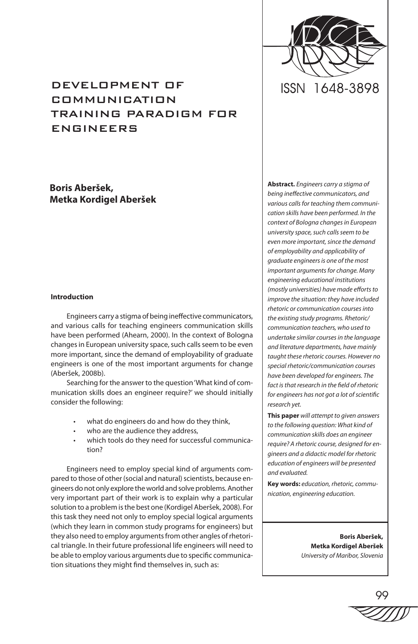

# DEVELOPMENT OF COMMUNICATION TRAINING PARADIGM FOR ENGINEERS

**Boris Aberšek, Metka Kordigel Aberšek**

# **Introduction**

Engineers carry a stigma of being ineffective communicators, and various calls for teaching engineers communication skills have been performed (Ahearn, 2000). In the context of Bologna changes in European university space, such calls seem to be even more important, since the demand of employability of graduate engineers is one of the most important arguments for change (Aberšek, 2008b).

Searching for the answer to the question 'What kind of communication skills does an engineer require?' we should initially consider the following:

- what do engineers do and how do they think,
- who are the audience they address,
- which tools do they need for successful communication?

Engineers need to employ special kind of arguments compared to those of other (social and natural) scientists, because engineers do not only explore the world and solve problems. Another very important part of their work is to explain why a particular solution to a problem is the best one (Kordigel Aberšek, 2008). For this task they need not only to employ special logical arguments (which they learn in common study programs for engineers) but they also need to employ arguments from other angles of rhetorical triangle. In their future professional life engineers will need to be able to employ various arguments due to specific communication situations they might find themselves in, such as:

**Abstract.** *Engineers carry a stigma of being ineffective communicators, and various calls for teaching them communication skills have been performed. In the context of Bologna changes in European university space, such calls seem to be even more important, since the demand of employability and applicability of graduate engineers is one of the most important arguments for change. Many engineering educational institutions (mostly universities) have made efforts to improve the situation: they have included rhetoric or communication courses into the existing study programs. Rhetoric/ communication teachers, who used to undertake similar courses in the language and literature departments, have mainly taught these rhetoric courses. However no special rhetoric/communication courses have been developed for engineers. The fact is that research in the field of rhetoric for engineers has not got a lot of scientific research yet.*

**This paper** *will attempt to given answers to the following question: What kind of communication skills does an engineer require? A rhetoric course, designed for engineers and a didactic model for rhetoric education of engineers will be presented and evaluated.* 

**Key words:** *education, rhetoric, communication, engineering education.* 

> **Boris Aberšek, Metka Kordigel Aberšek** *University of Maribor, Slovenia*

99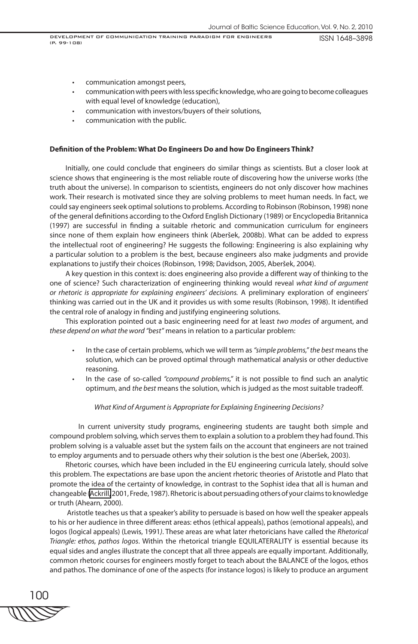- • communication amongst peers,
- communication with peers with less specific knowledge, who are going to become colleagues with equal level of knowledge (education),
- communication with investors/buyers of their solutions,
- communication with the public.

#### **Definition of the Problem: What Do Engineers Do and how Do Engineers Think?**

Initially, one could conclude that engineers do similar things as scientists. But a closer look at science shows that engineering is the most reliable route of discovering how the universe works (the truth about the universe). In comparison to scientists, engineers do not only discover how machines work. Their research is motivated since they are solving problems to meet human needs. In fact, we could say engineers seek optimal solutions to problems. According to Robinson (Robinson, 1998) none of the general definitions according to the Oxford English Dictionary (1989) or Encyclopedia Britannica (1997) are successful in finding a suitable rhetoric and communication curriculum for engineers since none of them explain how engineers think (Aberšek, 2008b). What can be added to express the intellectual root of engineering? He suggests the following: Engineering is also explaining why a particular solution to a problem is the best, because engineers also make judgments and provide explanations to justify their choices (Robinson, 1998; Davidson, 2005, Aberšek, 2004).

A key question in this context is: does engineering also provide a different way of thinking to the one of science? Such characterization of engineering thinking would reveal *what kind of argument or rhetoric is appropriate for explaining engineers' decisions.* A preliminary exploration of engineers' thinking was carried out in the UK and it provides us with some results (Robinson, 1998). It identified the central role of analogy in finding and justifying engineering solutions.

This exploration pointed out a basic engineering need for at least *two modes* of argument, and *these depend on what the word "best"* means in relation to a particular problem:

- In the case of certain problems, which we will term as "simple problems," the best means the solution, which can be proved optimal through mathematical analysis or other deductive reasoning.
- In the case of so-called "compound problems," it is not possible to find such an analytic optimum, and *the best* means the solution, which is judged as the most suitable tradeoff.

#### *What Kind of Argument is Appropriate for Explaining Engineering Decisions?*

In current university study programs, engineering students are taught both simple and compound problem solving, which serves them to explain a solution to a problem they had found. This problem solving is a valuable asset but the system fails on the account that engineers are not trained to employ arguments and to persuade others why their solution is the best one (Aberšek, 2003).

Rhetoric courses, which have been included in the EU engineering curricula lately, should solve this problem. The expectations are base upon the ancient rhetoric theories of Aristotle and Plato that promote the idea of the certainty of knowledge, in contrast to the Sophist idea that all is human and changeable ([Ackrill,](http://en.wikipedia.org/wiki/J._L._Ackrill) 2001, Frede, 1987). Rhetoric is about persuading others of your claims to knowledge or truth (Ahearn, 2000).

 Aristotle teaches us that a speaker's ability to persuade is based on how well the speaker appeals to his or her audience in three different areas: ethos (ethical appeals), pathos (emotional appeals), and logos (logical appeals) (Lewis, 1991*)*. These areas are what later rhetoricians have called the *Rhetorical Triangle: ethos, pathos logos*. Within the rhetorical triangle EQUILATERALITY is essential because its equal sides and angles illustrate the concept that all three appeals are equally important. Additionally, common rhetoric courses for engineers mostly forget to teach about the BALANCE of the logos, ethos and pathos. The dominance of one of the aspects (for instance logos) is likely to produce an argument

100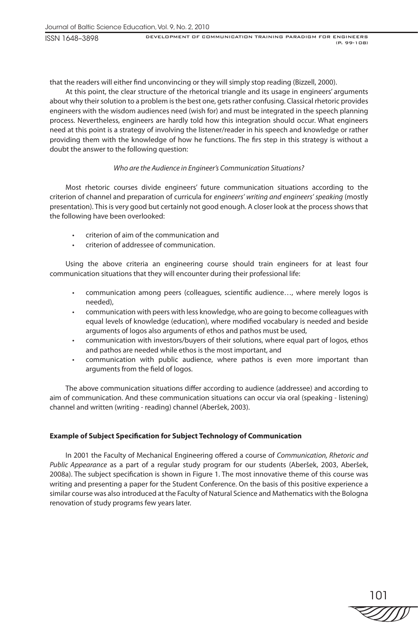ISSN 1648–3898

that the readers will either find unconvincing or they will simply stop reading (Bizzell, 2000).

At this point, the clear structure of the rhetorical triangle and its usage in engineers' arguments about why their solution to a problem is the best one, gets rather confusing. Classical rhetoric provides engineers with the wisdom audiences need (wish for) and must be integrated in the speech planning process. Nevertheless, engineers are hardly told how this integration should occur. What engineers need at this point is a strategy of involving the listener/reader in his speech and knowledge or rather providing them with the knowledge of how he functions. The firs step in this strategy is without a doubt the answer to the following question:

# *Who are the Audience in Engineer's Communication Situations?*

Most rhetoric courses divide engineers' future communication situations according to the criterion of channel and preparation of curricula for *engineers' writing and engineers' speaking* (mostly presentation). This is very good but certainly not good enough. A closer look at the process shows that the following have been overlooked:

- criterion of aim of the communication and
- criterion of addressee of communication.

Using the above criteria an engineering course should train engineers for at least four communication situations that they will encounter during their professional life:

- communication among peers (colleagues, scientific audience..., where merely logos is needed),
- communication with peers with less knowledge, who are going to become colleagues with equal levels of knowledge (education), where modified vocabulary is needed and beside arguments of logos also arguments of ethos and pathos must be used,
- communication with investors/buyers of their solutions, where equal part of logos, ethos and pathos are needed while ethos is the most important, and
- communication with public audience, where pathos is even more important than arguments from the field of logos.

The above communication situations differ according to audience (addressee) and according to aim of communication. And these communication situations can occur via oral (speaking - listening) channel and written (writing - reading) channel (Aberšek, 2003).

# **Example of Subject Specification for Subject Technology of Communication**

In 2001 the Faculty of Mechanical Engineering offered a course of *Communication, Rhetoric and Public Appearance* as a part of a regular study program for our students (Aberšek, 2003, Aberšek, 2008a). The subject specification is shown in Figure 1. The most innovative theme of this course was writing and presenting a paper for the Student Conference. On the basis of this positive experience a similar course was also introduced at the Faculty of Natural Science and Mathematics with the Bologna renovation of study programs few years later.

101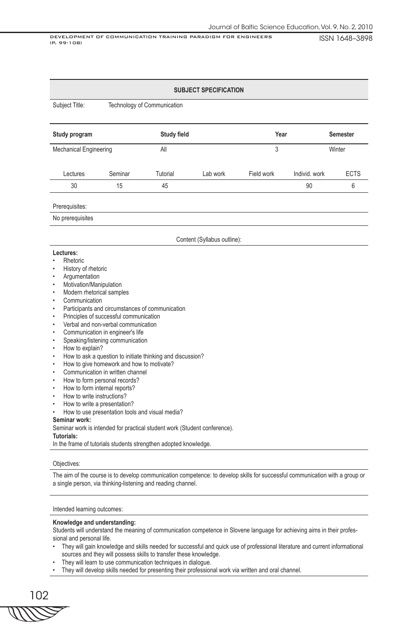ISSN 1648–3898 DEVELOPMENT OF COMMUNICATION TRAINING PARADIGM FOR ENGINEERS (P. 99-108)

### **SUBJECT SPECIFICATION**

Subject Title: Technology of Communication

| Study program                 |         | <b>Study field</b> |          | Year       |               | <b>Semester</b> |
|-------------------------------|---------|--------------------|----------|------------|---------------|-----------------|
| <b>Mechanical Engineering</b> |         | All                | 3        |            | Winter        |                 |
| Lectures                      | Seminar | Tutorial           | Lab work | Field work | Individ, work | <b>ECTS</b>     |
| 30                            | 15      | 45                 |          |            | 90            | 6               |
|                               |         |                    |          |            |               |                 |

### Prerequisites:

No prerequisites

#### Content (Syllabus outline):

#### **Lectures:**

- **Rhetoric**
- History of rhetoric
- **Argumentation**
- Motivation/Manipulation
- Modern rhetorical samples
- **Communication**
- Participants and circumstances of communication
- Principles of successful communication
- Verbal and non-verbal communication
- Communication in engineer's life
- Speaking/listening communication
- How to explain?
- How to ask a question to initiate thinking and discussion?
- How to give homework and how to motivate?
- Communication in written channel
- How to form personal records?
- How to form internal reports?
- How to write instructions?
- How to write a presentation?
- How to use presentation tools and visual media?

#### **Seminar work:**

Seminar work is intended for practical student work (Student conference).

**Tutorials:**

In the frame of tutorials students strengthen adopted knowledge.

### Objectives:

The aim of the course is to develop communication competence: to develop skills for successful communication with a group or a single person, via thinking-listening and reading channel.

Intended learning outcomes:

#### **Knowledge and understanding:**

Students will understand the meaning of communication competence in Slovene language for achieving aims in their professional and personal life.

- They will gain knowledge and skills needed for successful and quick use of professional literature and current informational sources and they will possess skills to transfer these knowledge.
- They will learn to use communication techniques in dialogue.
- They will develop skills needed for presenting their professional work via written and oral channel.

102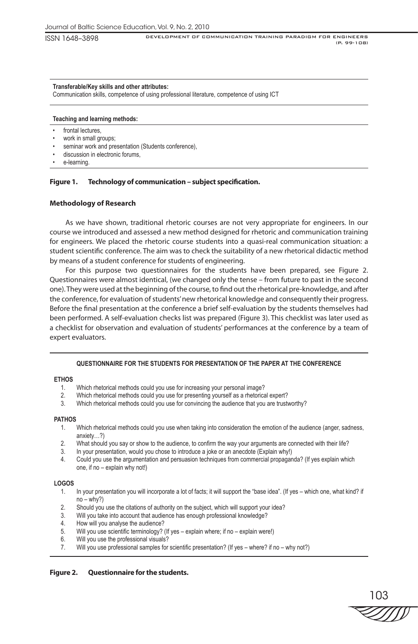ISSN 1648–3898

### **Transferable/Key skills and other attributes:**

Communication skills, competence of using professional literature, competence of using ICT

### **Teaching and learning methods:**

- frontal lectures,
- work in small groups;
- seminar work and presentation (Students conference),
- discussion in electronic forums.
- e-learning.

# **Figure 1. Technology of communication – subject specification.**

# **Methodology of Research**

As we have shown, traditional rhetoric courses are not very appropriate for engineers. In our course we introduced and assessed a new method designed for rhetoric and communication training for engineers. We placed the rhetoric course students into a quasi-real communication situation: a student scientific conference. The aim was to check the suitability of a new rhetorical didactic method by means of a student conference for students of engineering.

For this purpose two questionnaires for the students have been prepared, see Figure 2. Questionnaires were almost identical, (we changed only the tense – from future to past in the second one). They were used at the beginning of the course, to find out the rhetorical pre-knowledge, and after the conference, for evaluation of students' new rhetorical knowledge and consequently their progress. Before the final presentation at the conference a brief self-evaluation by the students themselves had been performed. A self-evaluation checks list was prepared (Figure 3). This checklist was later used as a checklist for observation and evaluation of students' performances at the conference by a team of expert evaluators.

# **QUESTIONNAIRE FOR THE STUDENTS FOR PRESENTATION OF THE PAPER AT THE CONFERENCE**

# **ETHOS**

- 1. Which rhetorical methods could you use for increasing your personal image?
- 2. Which rhetorical methods could you use for presenting yourself as a rhetorical expert?
- 3. Which rhetorical methods could you use for convincing the audience that you are trustworthy?

# **PATHOS**

- 1. Which rhetorical methods could you use when taking into consideration the emotion of the audience (anger, sadness, anxiety…?)
- 2. What should you say or show to the audience, to confirm the way your arguments are connected with their life?
- 3. In your presentation, would you chose to introduce a joke or an anecdote (Explain why!)
- 4. Could you use the argumentation and persuasion techniques from commercial propaganda? (If yes explain which one, if no – explain why not!)

# **LOGOS**

- 1. In your presentation you will incorporate a lot of facts; it will support the "base idea". (If yes which one, what kind? if  $no - why?)$
- 2. Should you use the citations of authority on the subject, which will support your idea?
- 3. Will you take into account that audience has enough professional knowledge?
- 4. How will you analyse the audience?
- 5. Will you use scientific terminology? (If yes explain where; if no explain were!)
- 6. Will you use the professional visuals?
- 7. Will you use professional samples for scientific presentation? (If yes where? if no why not?)

# **Figure 2. Questionnaire for the students.**

103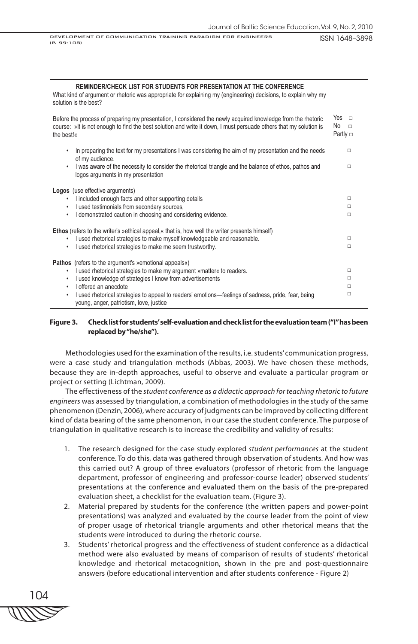ISSN 1648–3898 DEVELOPMENT OF COMMUNICATION TRAINING PARADIGM FOR ENGINEERS (P. 99-108)

### **REMINDER/CHECK LIST FOR STUDENTS FOR PRESENTATION AT THE CONFERENCE**

What kind of argument or rhetoric was appropriate for explaining my (engineering) decisions, to explain why my solution is the best?

| Before the process of preparing my presentation, I considered the newly acquired knowledge from the rhetoric<br>course: »It is not enough to find the best solution and write it down, I must persuade others that my solution is<br>the best!«                                                                                                                                                                           | Yes<br>$\Box$<br>No.<br>$\Box$<br>Partly $\Box$ |
|---------------------------------------------------------------------------------------------------------------------------------------------------------------------------------------------------------------------------------------------------------------------------------------------------------------------------------------------------------------------------------------------------------------------------|-------------------------------------------------|
| In preparing the text for my presentations I was considering the aim of my presentation and the needs<br>$\bullet$<br>of my audience.<br>I was aware of the necessity to consider the rhetorical triangle and the balance of ethos, pathos and<br>$\bullet$<br>logos arguments in my presentation                                                                                                                         | $\Box$<br>$\Box$                                |
| <b>Logos</b> (use effective arguments)<br>I included enough facts and other supporting details<br>$\bullet$<br>I used testimonials from secondary sources,<br>$\bullet$<br>I demonstrated caution in choosing and considering evidence.<br>$\bullet$                                                                                                                                                                      | $\Box$<br>п<br>$\Box$                           |
| <b>Ethos</b> (refers to the writer's »ethical appeal, « that is, how well the writer presents himself)<br>I used rhetorical strategies to make myself knowledgeable and reasonable.<br>٠<br>I used rhetorical strategies to make me seem trustworthy.<br>$\bullet$                                                                                                                                                        | □<br>$\Box$                                     |
| <b>Pathos</b> (refers to the argument's »emotional appeals«)<br>I used rhetorical strategies to make my argument »matter« to readers.<br>$\bullet$<br>I used knowledge of strategies I know from advertisements<br>$\bullet$<br>I offered an anecdote<br>$\bullet$<br>I used rhetorical strategies to appeal to readers' emotions—feelings of sadness, pride, fear, being<br>٠<br>young, anger, patriotism, love, justice | $\Box$<br>$\Box$<br>п<br>□                      |

# **Figure 3. Check list for students' self-evaluation and check list for the evaluation team ("I" has been replaced by "he/she").**

Methodologies used for the examination of the results, i.e. students' communication progress, were a case study and triangulation methods (Abbas, 2003). We have chosen these methods, because they are in-depth approaches, useful to observe and evaluate a particular program or project or setting (Lichtman, 2009).

The effectiveness of the *student conference as a didactic approach for teaching rhetoric to future engineers* was assessed by triangulation, a combination of methodologies in the study of the same phenomenon (Denzin, 2006), where accuracy of judgments can be improved by collecting different kind of data bearing of the same phenomenon, in our case the student conference. The purpose of triangulation in qualitative research is to increase the credibility and validity of results:

- 1. The research designed for the case study explored *student performances* at the student conference. To do this, data was gathered through observation of students. And how was this carried out? A group of three evaluators (professor of rhetoric from the language department, professor of engineering and professor-course leader) observed students' presentations at the conference and evaluated them on the basis of the pre-prepared evaluation sheet, a checklist for the evaluation team. (Figure 3).
- 2. Material prepared by students for the conference (the written papers and power-point presentations) was analyzed and evaluated by the course leader from the point of view of proper usage of rhetorical triangle arguments and other rhetorical means that the students were introduced to during the rhetoric course.
- 3. Students' rhetorical progress and the effectiveness of student conference as a didactical method were also evaluated by means of comparison of results of students' rhetorical knowledge and rhetorical metacognition, shown in the pre and post-questionnaire answers (before educational intervention and after students conference - Figure 2)

104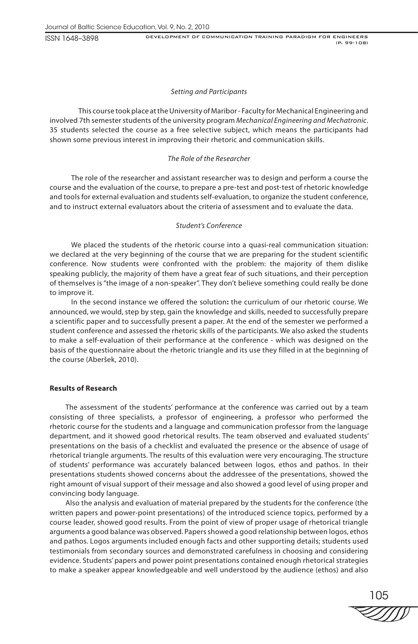ISSN 1648–3898

### *Setting and Participants*

This course took place at the University of Maribor - Faculty for Mechanical Engineering and involved 7th semester students of the university program *Mechanical Engineering and Mechatronic*. 35 students selected the course as a free selective subject, which means the participants had shown some previous interest in improving their rhetoric and communication skills.

### *The Role of the Researcher*

The role of the researcher and assistant researcher was to design and perform a course the course and the evaluation of the course, to prepare a pre-test and post-test of rhetoric knowledge and tools for external evaluation and students self-evaluation, to organize the student conference, and to instruct external evaluators about the criteria of assessment and to evaluate the data.

### *Student's Conference*

We placed the students of the rhetoric course into a quasi-real communication situation: we declared at the very beginning of the course that we are preparing for the student scientific conference. Now students were confronted with the problem: the majority of them dislike speaking publicly, the majority of them have a great fear of such situations, and their perception of themselves is "the image of a non-speaker". They don't believe something could really be done to improve it.

In the second instance we offered the solution**:** the curriculum of our rhetoric course. We announced, we would, step by step, gain the knowledge and skills, needed to successfully prepare a scientific paper and to successfully present a paper. At the end of the semester we performed a student conference and assessed the rhetoric skills of the participants. We also asked the students to make a self-evaluation of their performance at the conference - which was designed on the basis of the questionnaire about the rhetoric triangle and its use they filled in at the beginning of the course (Aberšek, 2010).

### **Results of Research**

The assessment of the students' performance at the conference was carried out by a team consisting of three specialists, a professor of engineering, a professor who performed the rhetoric course for the students and a language and communication professor from the language department, and it showed good rhetorical results. The team observed and evaluated students' presentations on the basis of a checklist and evaluated the presence or the absence of usage of rhetorical triangle arguments. The results of this evaluation were very encouraging. The structure of students' performance was accurately balanced between logos, ethos and pathos. In their presentations students showed concerns about the addressee of the presentations, showed the right amount of visual support of their message and also showed a good level of using proper and convincing body language.

Also the analysis and evaluation of material prepared by the students for the conference (the written papers and power-point presentations) of the introduced science topics, performed by a course leader, showed good results. From the point of view of proper usage of rhetorical triangle arguments a good balance was observed. Papers showed a good relationship between logos, ethos and pathos. Logos arguments included enough facts and other supporting details; students used testimonials from secondary sources and demonstrated carefulness in choosing and considering evidence. Students' papers and power point presentations contained enough rhetorical strategies to make a speaker appear knowledgeable and well understood by the audience (ethos) and also

105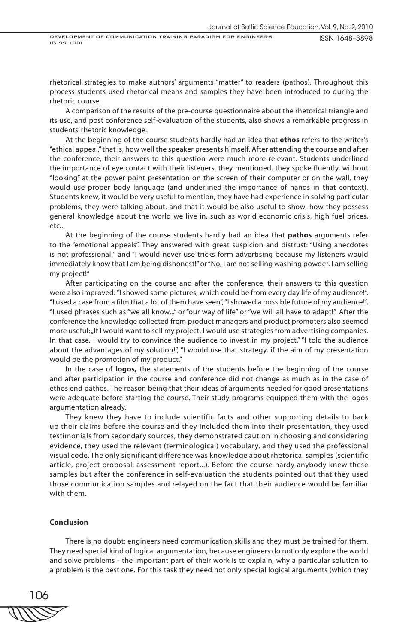DEVELOPMENT OF COMMUNICATION TRAINING PARADIGM FOR ENGINEERS (P. 99-108)

ISSN 1648–3898

rhetorical strategies to make authors' arguments "matter" to readers (pathos). Throughout this process students used rhetorical means and samples they have been introduced to during the rhetoric course.

A comparison of the results of the pre-course questionnaire about the rhetorical triangle and its use, and post conference self-evaluation of the students, also shows a remarkable progress in students' rhetoric knowledge.

At the beginning of the course students hardly had an idea that **ethos** refers to the writer's "ethical appeal," that is, how well the speaker presents himself. After attending the course and after the conference, their answers to this question were much more relevant. Students underlined the importance of eye contact with their listeners, they mentioned, they spoke fluently, without "looking" at the power point presentation on the screen of their computer or on the wall, they would use proper body language (and underlined the importance of hands in that context). Students knew, it would be very useful to mention, they have had experience in solving particular problems, they were talking about, and that it would be also useful to show, how they possess general knowledge about the world we live in, such as world economic crisis, high fuel prices, etc...

At the beginning of the course students hardly had an idea that **pathos** arguments refer to the "emotional appeals". They answered with great suspicion and distrust: "Using anecdotes is not professional!" and "I would never use tricks form advertising because my listeners would immediately know that I am being dishonest!" or "No, I am not selling washing powder. I am selling my project!"

After participating on the course and after the conference, their answers to this question were also improved: "I showed some pictures, which could be from every day life of my audience!", "I used a case from a film that a lot of them have seen", "I showed a possible future of my audience!", "I used phrases such as "we all know..." or "our way of life" or "we will all have to adapt!". After the conference the knowledge collected from product managers and product promoters also seemed more useful: "If I would want to sell my project, I would use strategies from advertising companies. In that case, I would try to convince the audience to invest in my project." "I told the audience about the advantages of my solution!", "I would use that strategy, if the aim of my presentation would be the promotion of my product."

In the case of **logos,** the statements of the students before the beginning of the course and after participation in the course and conference did not change as much as in the case of ethos end pathos. The reason being that their ideas of arguments needed for good presentations were adequate before starting the course. Their study programs equipped them with the logos argumentation already.

They knew they have to include scientific facts and other supporting details to back up their claims before the course and they included them into their presentation, they used testimonials from secondary sources, they demonstrated caution in choosing and considering evidence, they used the relevant (terminological) vocabulary, and they used the professional visual code. The only significant difference was knowledge about rhetorical samples (scientific article, project proposal, assessment report...). Before the course hardy anybody knew these samples but after the conference in self-evaluation the students pointed out that they used those communication samples and relayed on the fact that their audience would be familiar with them.

### **Conclusion**

There is no doubt: engineers need communication skills and they must be trained for them. They need special kind of logical argumentation, because engineers do not only explore the world and solve problems - the important part of their work is to explain, why a particular solution to a problem is the best one. For this task they need not only special logical arguments (which they

106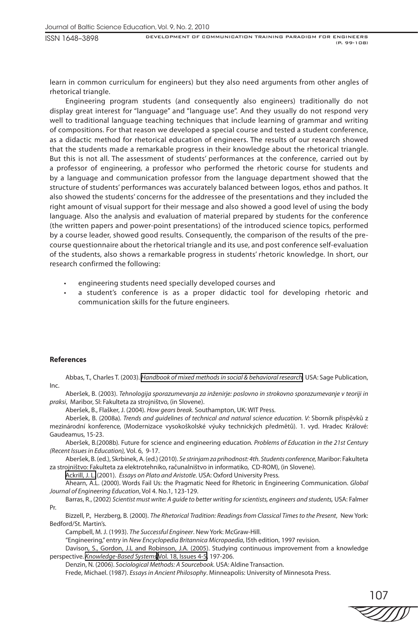learn in common curriculum for engineers) but they also need arguments from other angles of rhetorical triangle.

Engineering program students (and consequently also engineers) traditionally do not display great interest for "language" and "language use". And they usually do not respond very well to traditional language teaching techniques that include learning of grammar and writing of compositions. For that reason we developed a special course and tested a student conference, as a didactic method for rhetorical education of engineers. The results of our research showed that the students made a remarkable progress in their knowledge about the rhetorical triangle. But this is not all. The assessment of students' performances at the conference, carried out by a professor of engineering, a professor who performed the rhetoric course for students and by a language and communication professor from the language department showed that the structure of students' performances was accurately balanced between logos, ethos and pathos. It also showed the students' concerns for the addressee of the presentations and they included the right amount of visual support for their message and also showed a good level of using the body language. Also the analysis and evaluation of material prepared by students for the conference (the written papers and power-point presentations) of the introduced science topics, performed by a course leader, showed good results. Consequently, the comparison of the results of the precourse questionnaire about the rhetorical triangle and its use, and post conference self-evaluation of the students, also shows a remarkable progress in students' rhetoric knowledge. In short, our research confirmed the following:

- engineering students need specially developed courses and
- a student's conference is as a proper didactic tool for developing rhetoric and communication skills for the future engineers.

#### **References**

Abbas, T., Charles T. (2003). *[Handbook of mixed methods in social & behavioral research](http://www.google.com/books?id=F8BFOM8DCKoC&printsec=frontcover&dq=Kvalitativ+and+quantitative+methods&lr=&hl=sl&source=gbs_book_similarbooks).* USA: Sage Publication, Inc.

Aberšek, B. (2003). *Tehnologija sporazumevanja za inženirje: poslovno in strokovno sporazumevanje v teoriji in praksi*, Maribor, Sl: Fakulteta za strojništvo, (in Slovene).

Aberšek, B., Flašker, J. (2004). *How gears break.* Southampton, UK: WIT Press.

Aberšek, B. (2008a)*. Trends and guidelines of technical and natural science education. V:* Sborník přispěvků z mezinárodní konference*,* (Modernizace vysokoškolské výuky technických předmětů). 1. vyd. Hradec Králové: Gaudeamus, 15-23.

Aberšek, B.(2008b)*.* Future for science and engineering education*. Problems of Education in the 21st Century (Recent Issues in Education),* Vol. 6, 9-17.

Aberšek, B. (ed.), Skrbinek, A. (ed.) (2010). *Se strinjam za prihodnost: 4th. Students conference,* Maribor: Fakulteta za strojništvo: Fakulteta za elektrotehniko, računalništvo in informatiko, CD-ROM), (in Slovene).

[Ackrill, J. L.](http://en.wikipedia.org/wiki/J._L._Ackrill) (2001). *Essays on Plato and Aristotle*. USA: Oxford University Press.

Ahearn, A.L. (2000). Words Fail Us: the Pragmatic Need for Rhetoric in Engineering Communication. *Global Journal of Engineering Education*, Vol 4. No.1, 123-129.

Barras, R., (2002) *Scientist must write: A guide to better writing for scientists, engineers and students,* USA: Falmer Pr.

Bizzell, P., Herzberg, B. (2000). *The Rhetorical Tradition: Readings from Classical Times to the Present*, New York: Bedford/St. Martin's.

Campbell, M. J. (1993). *The Successful Engineer*. New York: McGraw-Hill.

"Engineering," entry in *New Encyclopedia Britannica Micropaedia*, l5th edition, 1997 revision.

Davison, S., Gordon, J.L and Robinson, J.A. (2005). Studying continuous improvement from a knowledge perspective. *[Knowledge-Based Systems,](http://www.sciencedirect.com/science/journal/09507051)*[Vol. 18, Issues 4-5,](http://www.sciencedirect.com/science?_ob=PublicationURL&_tockey=%23TOC%235652%232005%23999819995%23602139%23FLA%23&_cdi=5652&_pubType=J&view=c&_auth=y&_acct=C000048764&_version=1&_urlVersion=0&_userid=940034&md5=b4491e0c0909ce977f3c17df4201593d) 197-206.

Denzin, N*.* (2006). *Sociological Methods: A Sourcebook.* USA: Aldine Transaction.

Frede, Michael. (1987). *Essays in Ancient Philosophy*. Minneapolis: University of Minnesota Press.

107